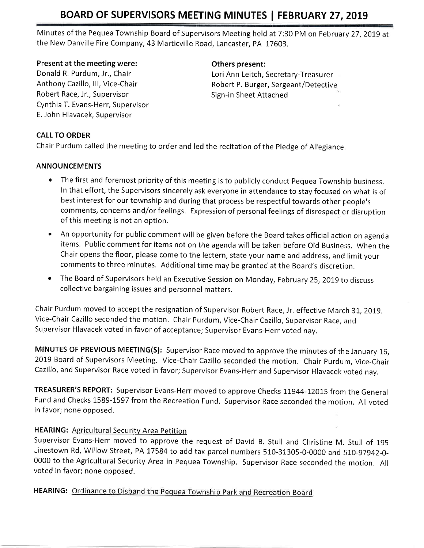Minutes of the Pequea Township Board of Supervisors Meeting held at 7:30 PM on February 27, 2019 at the New Danville Fire Company, 43 Marticville Road, Lancaster, PA 17603.

#### Present at the meeting were:

Donald R, Purdum, Jr., Chair Anthony Cazillo, lll, Vice-Chair Robert Race, Jr., Supervisor Cynthia T. Evans-Herr, Supervisor E. John Hlavacek, Supervisor

#### Others present:

Lori Ann Leitch, Secretary-Treasurer Robert P. Burger, Sergeant/Detective Sign-in Sheet Attached

#### CALL TO ORDER

Chair Purdum called the meeting to order and led the recitation of the Pledge of Allegiance.

#### ANNOUNCEMENTS

- The first and foremost priority of this meeting is to publicly conduct Pequea Township business. In that effort, the Supervisors sincerely ask everyone in attendance to stay focused on what is of best interest for our township and during that process be respectful towards other people's comments, concerns and/or feelings. Expression of personal feelings of disrespect or disruption of this meeting is not an option.
- An opportunity for public comment will be given before the Board takes official action on agenda items. Public comment for items not on the agenda will be taken before Old Business. When the Chair opens the floor, please come to the lectern, state your name and address, and limit your comments to three minutes, Additional time may be granted at the Board's discretion.
- The Board of Supervisors held an Executive Session on Monday, February 25, 2019 to discuss collective bargaining issues and personnel matters.

Chair Purdum moved to accept the resignation of Supervisor Robert Race, Jr. effective March 31, 2019. Vice-Chair Cazillo seconded the motion. Chair Purdum, Vice-Chair Cazillo, Supervisor Race, and Supervisor Hlavacek voted in favor of acceptance; Supervisor Evans-Herr voted nay,

MINUTES OF PREVIOUS MEETING(S): Supervisor Race moved to approve the minutes of the January 16, 2019 Board of Supervisors Meeting. Vice-Chair Cazillo seconded the motion. Chair Purdum, Vice-Chair Cazillo, and Supervisor Race voted in favor; Supervisor Evans-Herr and Supervisor Hlavacek voted nav,

TREASURER'S REPORT: Supervisor Evans-Herr moved to approve Checks 11944-12015 from the General Fund and Checks 1589-1597 from the Recreation Fund. Supervisor Race seconded the motion, Allvoted in favor; none opposed.

### HEARING: Agricultural Security Area Petition

supervisor Evans-Herr moved to approve the request of David B. stull and christine M. stull of 1g5 Linestown Rd, Willow Street, PA 17584 to add tax parcel numbers 510-31305-0-0000 and 510-97942-0-0000 to the Agricultural Security Area in Pequea Township. Supervisor Race seconded the motion. All voted in favor; none opposed.

## HEARING: Ordinance to Disband the Pequea Township Park and Recreation Board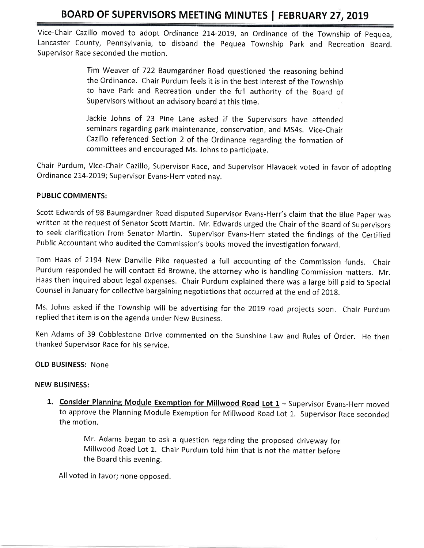Vice-Chair Cazillo moved to adopt Ordinance 214-2019, an Ordinance of the Township of Pequea, Lancaster County, Pennsylvania, to disband the Pequea Township Park and Recreation Board. Supervisor Race seconded the motion.

> Tim Weaver of 722 Baumgardner Road questioned the reasoning behind the Ordinance. Chair Purdum feels it is in the best interest of the Township to have Park and Recreation under the full authority of the Board of Supervisors without an advisory board at this time.

> Jackie Johns of 23 Pine Lane asked if the Supervisors have attended seminars regarding park maintenance, conservation, and MS4s. Vice-Chair Cazillo referenced Section 2 of the Ordinance regarding the formation of committees and encouraged Ms. Johns to participate.

Chair Purdum, Vice-Chair Cazillo, Supervisor Race, and Supervisor Hlavacek voted in favor of adopting Ordinance 214-2019; Supervisor Evans-Herr voted nav.

#### PUBLIC COMMENTS:

Scott Edwards of 98 Baumgardner Road disputed Supervisor Evans-Herr's claim that the Blue paper was written at the request of Senator Scott Martin. Mr. Edwards urged the Chair of the Board of Supervisors to seek clarification from Senator Martin, Supervisor Evans-Herr stated the findings of the Certified Public Accountant who audited the Commission's books moved the investigation forward.

Tom Haas of 2194 New Danville Pike requested a full accounting of the Commission funds. Chair Purdum responded he will contact Ed Browne, the attorney who is handling Commission matters, Mr. Haas then inquired about legal expenses, Chair Purdum explained there was a large bill paid to Special Counsel in January for collective bargaining negotiations that occurred at the end of 2018.

Ms. Johns asked if the Township will be advertising for the 2019 road projects soon. Chair Purdum replied that item is on the agenda under New Business,

Ken Adams of 39 Cobblestone Drive commented on the Sunshine Law and Rules of Order. He then thanked Supervisor Race for his service,

#### OLD BUSINESS: None

#### NEW BUSINESS:

1. Consider Planning Module Exemption for Millwood Road Lot 1 - Supervisor Evans-Herr moved to approve the Planning Module Exemption for Millwood Road Lot 1. Supervisor Race seconded the motion.

> Mr. Adams began to ask a question regarding the proposed driveway for Millwood Road Lot 1. Chair Purdum told him that is not the matter before the Board this evening,

All voted in favor; none opposed.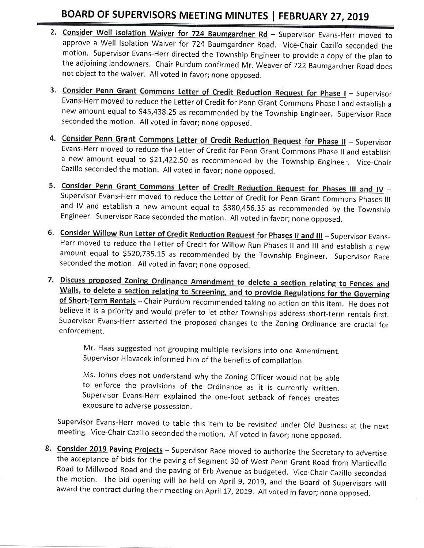- 2. Consider Well Isolation Waiver for 724 Baumgardner Rd Supervisor Evans-Herr moved to approve a Well Isolation Waiver for 724 Baumgardner Road. Vice-Chair Cazillo seconded the motion, Supervisor Evans-Herr directed the Township Engineer to provide a copy of the plan to the adjoining landowners. Chair Purdum confirmed Mr. Weaver of 722 Baumgardner Road does not object to the waiver. All voted in favor; none opposed,
- 3. Consider Penn Grant Commons Letter of Credit Reduction Request for Phase I Supervisor Evans-Herr moved to reduce the Letter of Credit for Penn Grant Commons phase I and establish <sup>a</sup> new amount equal to \$45,438.25 as recommended by the Township Engineer. Supervisor Race seconded the motion, All voted in favor; none opposed.
- 4. Consider Penn Grant Commons Letter of Credit Reduction Request for Phase II Supervisor Evans-Herr moved to reduce the Letter of Credit for Penn Grant Commons Phase II and establish a new amount equal to \$21,422.50 as recommended by the Township Engineer. Vice-Chair Cazillo seconded the motion. All voted in favor; none opposed.
- 5. Consider Penn Grant Commons Letter of Credit Reduction Request for Phases III and IV -<br>Supervisor Evans-Herr moved to reduce the Letter of Credit for Penn Grant Commons Phases III and lV and establish a new amount equal to 5380,456.35 as recommended by the Township Engineer. Supervisor Race seconded the motion. All voted in favor; none opposed.
- 6. Consider Willow Run Letter of Credit Reduction Request for Phases II and III Supervisor Evans-Herr moved to reduce the Letter of Credit for Willow Run Phases ll and lll and establish a new amount equal to \$520,735.15 as recommended by the Township Engineer. Supervisor Race seconded the motion, All voted in favor; none opposed,
- 7. Discuss proposed Zoning Ordinance Amendment to delete a section relating to Fences and<br>Walls, to delete a section relating to Screening, and to provide Regulations for the Governing of Short-Term Rentals - Chair Purdum recommended taking no action on this item. He does not believe it is a priority and would prefer to let other Townships address short-term renrtals first. Supervisor Evans-Herr asserted the proposed changes to the Zoning Ordinance are crucial for enforcement.

Mr. Haas suggested not grouping multiple revisions into one Amendment, Supervisor Hlavacek informed him of the benefits of compilation.

Ms. Johns does not understand why the Zoning Officer would not be able to enforce the provisions of the Ordinance as it is currently written. Supervisor Evans-Herr explained the one-foot setback of fences creates exposure to adverse possession.

Supervisor Evans-Herr moved to table this item to be revisited under Old Business at the next meeting. Vice-Chair Cazillo seconded the motion. All voted in favor; none opposed.

8. Consider 2019 Paving Projects - Supervisor Race moved to authorize the Secretary to advertise<br>the acceptance of bids for the paving of Segment 30 of West Penn Grant Road from Marticville<br>Road to Millwood Road and the pa the motion. The bid opening will be held on April 9, 2019, and the Board of Supervisors will<br>award the contract during their meeting on April 17, 2019. All voted in favor; none opposed.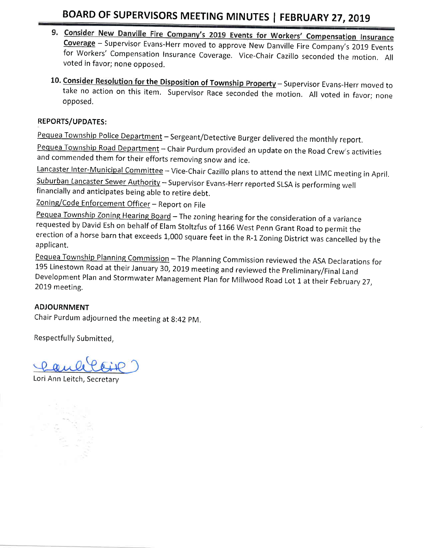- 9. Consider New Danville Fire Company's 2019 Events for Workers' Compensation Insurance<br>Coverage Supervisor Evans-Herr moved to approve New Danville Fire Company's 2019 Events<br>for Workers' Compensation Insurance Coverage voted in favor; none opposed.
- 10. Consider Resolution for the Disposition of Township Property Supervisor Evans-Herr moved to take no action on this item. Supervisor Race seconded the motion. All voted in favor; none opposed.

### REPORTS/UPDATES:

Pequea Township Police Department - Sergeant/Detective Burger delivered the monthly report.

Pequea Township Road Department - Chair Purdum provided an update on the Road Crew's activities and commended them for their efforts removing snow and ice,

Lancaster Inter-Municipal Committee - Vice-Chair Cazillo plans to attend the next LIMC meeting in April. Suburban Lancaster Sewer Authority - Supervisor Evans-Herr reported SLSA is performing well financially and anticipates being able to retire debt.

Zoning/Code Enforcement Officer - Report on File

Pequea Township Zoning Hearing Board - The zoning hearing for the consideration of a variance requested by David Esh on behalf of Elam Stoltzfus of 1166 West Penn Grant Road to permit the erection of a horse barn that exceeds 1,000 square feet in the R-1 Zoning District was cancelled by the applicant.

Pequea Township Planning Commission – The Planning Commission reviewed the ASA Declarations for<br>195 Linestown Road at their January 30, 2019 meeting and reviewed the Preliminary/Final Land<br>Development Plan and Stormwater M 2019 meeting,

### ADJOURNMENT

Chair Purdum adjourned the meeting at g:42 pM,

Respectfully Submitted,

Lori Ann Leitch, Secretary